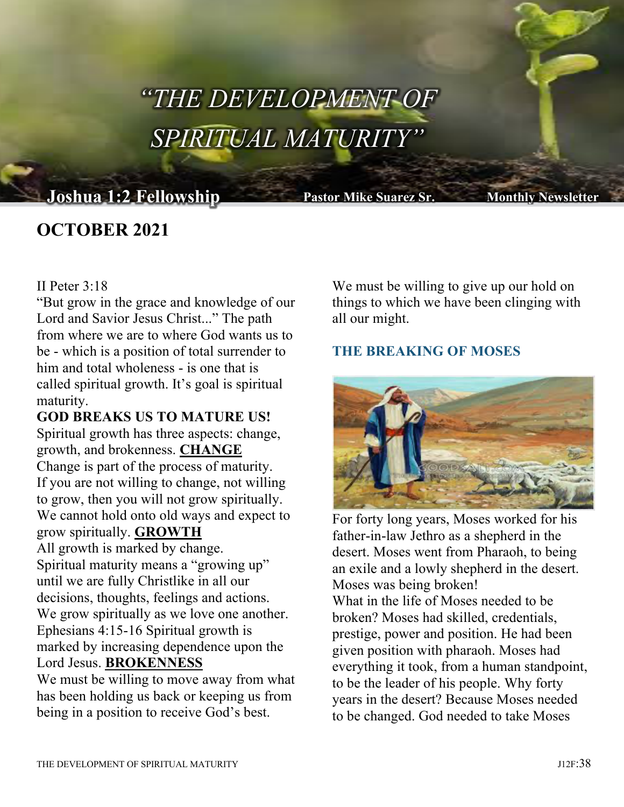# "THE DEVELOPMENT OF SPIRITUAL MATURITY"

# **Joshua 1:2 Fellowship Pastor Mike Suarez Sr. Monthly Newsletter**

# **OCTOBER 2021**

#### II Peter 3:18

"But grow in the grace and knowledge of our Lord and Savior Jesus Christ..." The path from where we are to where God wants us to be - which is a position of total surrender to him and total wholeness - is one that is called spiritual growth. It's goal is spiritual maturity.

**GOD BREAKS US TO MATURE US!** Spiritual growth has three aspects: change, growth, and brokenness. **CHANGE** Change is part of the process of maturity. If you are not willing to change, not willing to grow, then you will not grow spiritually. We cannot hold onto old ways and expect to grow spiritually. **GROWTH** All growth is marked by change. Spiritual maturity means a "growing up" until we are fully Christlike in all our

decisions, thoughts, feelings and actions. We grow spiritually as we love one another. Ephesians 4:15-16 Spiritual growth is marked by increasing dependence upon the Lord Jesus. **BROKENNESS**

We must be willing to move away from what has been holding us back or keeping us from being in a position to receive God's best.

We must be willing to give up our hold on things to which we have been clinging with all our might.

## **THE BREAKING OF MOSES**



For forty long years, Moses worked for his father-in-law Jethro as a shepherd in the desert. Moses went from Pharaoh, to being an exile and a lowly shepherd in the desert. Moses was being broken! What in the life of Moses needed to be broken? Moses had skilled, credentials,

prestige, power and position. He had been given position with pharaoh. Moses had everything it took, from a human standpoint, to be the leader of his people. Why forty years in the desert? Because Moses needed to be changed. God needed to take Moses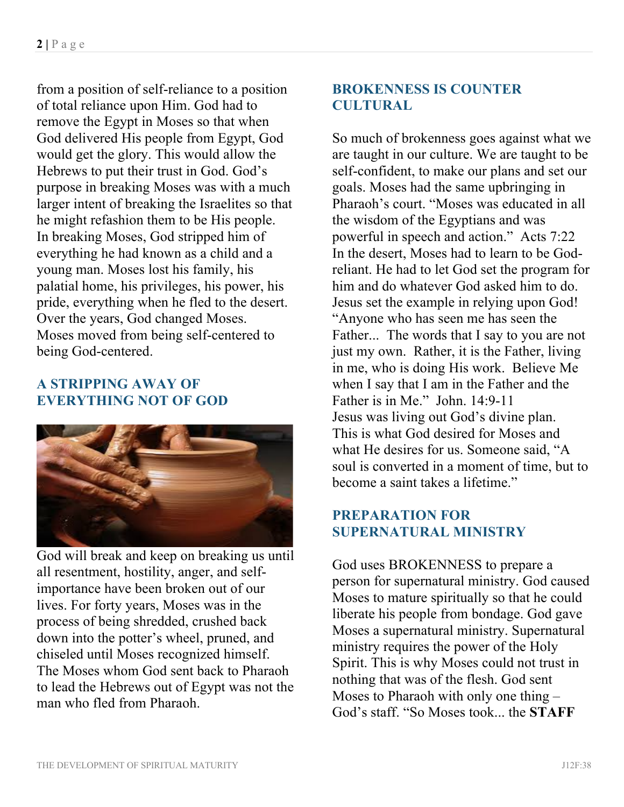from a position of self-reliance to a position of total reliance upon Him. God had to remove the Egypt in Moses so that when God delivered His people from Egypt, God would get the glory. This would allow the Hebrews to put their trust in God. God's purpose in breaking Moses was with a much larger intent of breaking the Israelites so that he might refashion them to be His people. In breaking Moses, God stripped him of everything he had known as a child and a young man. Moses lost his family, his palatial home, his privileges, his power, his pride, everything when he fled to the desert. Over the years, God changed Moses. Moses moved from being self-centered to being God-centered.

### **A STRIPPING AWAY OF EVERYTHING NOT OF GOD**



God will break and keep on breaking us until all resentment, hostility, anger, and selfimportance have been broken out of our lives. For forty years, Moses was in the process of being shredded, crushed back down into the potter's wheel, pruned, and chiseled until Moses recognized himself. The Moses whom God sent back to Pharaoh to lead the Hebrews out of Egypt was not the man who fled from Pharaoh.

## **BROKENNESS IS COUNTER CULTURAL**

So much of brokenness goes against what we are taught in our culture. We are taught to be self-confident, to make our plans and set our goals. Moses had the same upbringing in Pharaoh's court. "Moses was educated in all the wisdom of the Egyptians and was powerful in speech and action." Acts 7:22 In the desert, Moses had to learn to be Godreliant. He had to let God set the program for him and do whatever God asked him to do. Jesus set the example in relying upon God! "Anyone who has seen me has seen the Father... The words that I say to you are not just my own. Rather, it is the Father, living in me, who is doing His work. Believe Me when I say that I am in the Father and the Father is in Me." John. 14:9-11 Jesus was living out God's divine plan. This is what God desired for Moses and what He desires for us. Someone said, "A soul is converted in a moment of time, but to become a saint takes a lifetime."

## **PREPARATION FOR SUPERNATURAL MINISTRY**

God uses BROKENNESS to prepare a person for supernatural ministry. God caused Moses to mature spiritually so that he could liberate his people from bondage. God gave Moses a supernatural ministry. Supernatural ministry requires the power of the Holy Spirit. This is why Moses could not trust in nothing that was of the flesh. God sent Moses to Pharaoh with only one thing – God's staff. "So Moses took... the **STAFF**